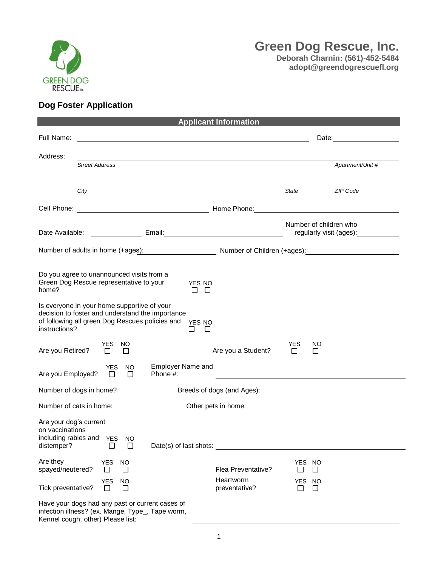

## **Dog Foster Application**

| <b>Applicant Information</b>                                                                                                                                        |                            |                |                               |                  |                                                                                                                       |                       |                                                                                                                                                                                                                                     |
|---------------------------------------------------------------------------------------------------------------------------------------------------------------------|----------------------------|----------------|-------------------------------|------------------|-----------------------------------------------------------------------------------------------------------------------|-----------------------|-------------------------------------------------------------------------------------------------------------------------------------------------------------------------------------------------------------------------------------|
| Full Name:                                                                                                                                                          |                            |                |                               |                  | <u> 1989 - Johann Stoff, deutscher Stoffen und der Stoffen und der Stoffen und der Stoffen und der Stoffen und de</u> |                       | Date: <u>___________</u>                                                                                                                                                                                                            |
| Address:                                                                                                                                                            | <b>Street Address</b>      |                |                               |                  |                                                                                                                       |                       | Apartment/Unit #                                                                                                                                                                                                                    |
|                                                                                                                                                                     | City                       |                |                               |                  |                                                                                                                       | State                 | ZIP Code                                                                                                                                                                                                                            |
|                                                                                                                                                                     |                            |                |                               |                  |                                                                                                                       |                       | Cell Phone: <u>Cell Phone:</u> Cell Phone: Cell Phone: Cell Phone: Cell Phone: Cell Phone: Cell Phone: Cell Phone: Cell Phone: Cell Phone: Cell Phone: Cell Phone: Cell Phone: Cell Phone: Cell Phone: Cell Phone: Cell Phone: Cell |
|                                                                                                                                                                     |                            |                |                               |                  |                                                                                                                       |                       | Number of children who<br>regularly visit (ages): <u>comparent</u>                                                                                                                                                                  |
|                                                                                                                                                                     |                            |                |                               |                  |                                                                                                                       |                       | Number of adults in home (+ages): Number of Children (+ages): Number of Children (+ages):                                                                                                                                           |
| Do you agree to unannounced visits from a<br>Green Dog Rescue representative to your<br>home?                                                                       |                            |                |                               | YES NO<br>$\Box$ |                                                                                                                       |                       |                                                                                                                                                                                                                                     |
| Is everyone in your home supportive of your<br>decision to foster and understand the importance<br>of following all green Dog Rescues policies and<br>instructions? |                            |                |                               | YES NO<br>Ш      |                                                                                                                       |                       |                                                                                                                                                                                                                                     |
| Are you Retired?                                                                                                                                                    | YES NO<br>$\perp$          | □              |                               |                  | Are you a Student?                                                                                                    | <b>YES</b><br>$\perp$ | NO.<br>$\perp$                                                                                                                                                                                                                      |
| Are you Employed?                                                                                                                                                   | YES<br>$\Box$              | <b>NO</b><br>П | Employer Name and<br>Phone #: |                  |                                                                                                                       |                       |                                                                                                                                                                                                                                     |
| Number of dogs in home?                                                                                                                                             |                            |                |                               |                  |                                                                                                                       |                       |                                                                                                                                                                                                                                     |
| Number of cats in home:                                                                                                                                             |                            |                |                               |                  |                                                                                                                       |                       |                                                                                                                                                                                                                                     |
| Are your dog's current<br>on vaccinations<br>including rabies and YES NO<br>distemper?                                                                              | $\perp$                    | $\Box$         | Date(s) of last shots:        |                  |                                                                                                                       |                       |                                                                                                                                                                                                                                     |
| Are they<br>spayed/neutered?                                                                                                                                        | <b>YES</b><br>$\mathbf{L}$ | <b>NO</b><br>□ |                               |                  | Flea Preventative?                                                                                                    | YES NO<br>$\sim$      | U                                                                                                                                                                                                                                   |
| Tick preventative?                                                                                                                                                  | <b>YES</b><br>$\mathsf{L}$ | NO<br>$\perp$  |                               |                  | Heartworm<br>preventative?                                                                                            | YES<br>l 1            | - NO<br>ப                                                                                                                                                                                                                           |
| Have your dogs had any past or current cases of<br>infection illness? (ex. Mange, Type_, Tape worm,<br>Kennel cough, other) Please list:                            |                            |                |                               |                  |                                                                                                                       |                       |                                                                                                                                                                                                                                     |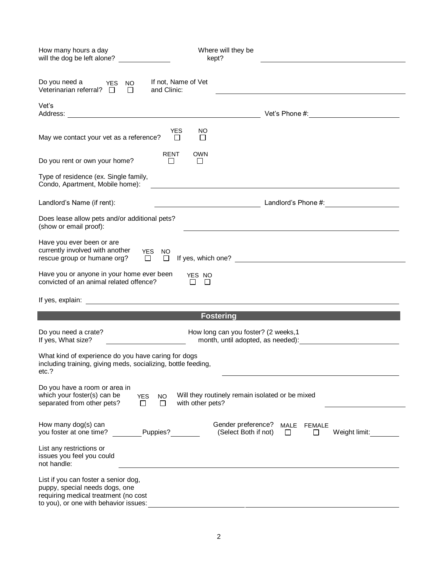| How many hours a day<br>will the dog be left alone?                                                                                                      | Where will they be<br>kept?                                                                                                                                                                                                          |
|----------------------------------------------------------------------------------------------------------------------------------------------------------|--------------------------------------------------------------------------------------------------------------------------------------------------------------------------------------------------------------------------------------|
| Do you need a YES NO<br>If not, Name of Vet                                                                                                              |                                                                                                                                                                                                                                      |
| Veterinarian referral? $\square$<br>and Clinic:<br>$\Box$                                                                                                |                                                                                                                                                                                                                                      |
| Vet's                                                                                                                                                    |                                                                                                                                                                                                                                      |
| <b>YES</b><br>NO.<br>May we contact your vet as a reference?<br>$\Box$<br>□                                                                              |                                                                                                                                                                                                                                      |
| RENT<br><b>OWN</b><br>Do you rent or own your home?<br>$\perp$<br>$\perp$                                                                                |                                                                                                                                                                                                                                      |
| Type of residence (ex. Single family,<br>Condo, Apartment, Mobile home):                                                                                 | <u>and the state of the state of the state of the state of the state of the state of the state of the state of the state of the state of the state of the state of the state of the state of the state of the state of the state</u> |
| Landlord's Name (if rent):                                                                                                                               | <b>Manual Landlord's Phone #: Manual Landlord's Phone #: Manual Landlord's Phone #: Manual Landlord's Phone #: Manual Landlord's Phone #: Manual Landlord's Phone #: Manual Landlord's Phone #:</b> $\frac{1}{2}$                    |
| Does lease allow pets and/or additional pets?<br>(show or email proof):                                                                                  |                                                                                                                                                                                                                                      |
| Have you ever been or are<br>currently involved with another<br>YES NO<br>rescue group or humane org?                                                    |                                                                                                                                                                                                                                      |
| Have you or anyone in your home ever been YES NO<br>convicted of an animal related offence?<br>$\Box$<br>$\Box$                                          |                                                                                                                                                                                                                                      |
|                                                                                                                                                          |                                                                                                                                                                                                                                      |
|                                                                                                                                                          | <b>Fostering</b>                                                                                                                                                                                                                     |
| Do you need a crate?<br>If yes, What size?                                                                                                               | How long can you foster? (2 weeks, 1<br>month, until adopted, as needed):                                                                                                                                                            |
| What kind of experience do you have caring for dogs<br>including training, giving meds, socializing, bottle feeding,<br>etc.?                            |                                                                                                                                                                                                                                      |
| Do you have a room or area in<br>which your foster(s) can be<br><b>YES</b><br><b>NO</b><br>with other pets?<br>separated from other pets?<br>□<br>$\Box$ | Will they routinely remain isolated or be mixed                                                                                                                                                                                      |
| How many dog(s) can<br>Puppies?<br>you foster at one time?                                                                                               | Gender preference?<br>MALE<br><b>FEMALE</b><br>(Select Both if not)<br>Weight limit:<br>$\perp$<br>ΙI                                                                                                                                |
| List any restrictions or<br>issues you feel you could<br>not handle:                                                                                     |                                                                                                                                                                                                                                      |
| List if you can foster a senior dog,<br>puppy, special needs dogs, one<br>requiring medical treatment (no cost<br>to you), or one with behavior issues:  |                                                                                                                                                                                                                                      |